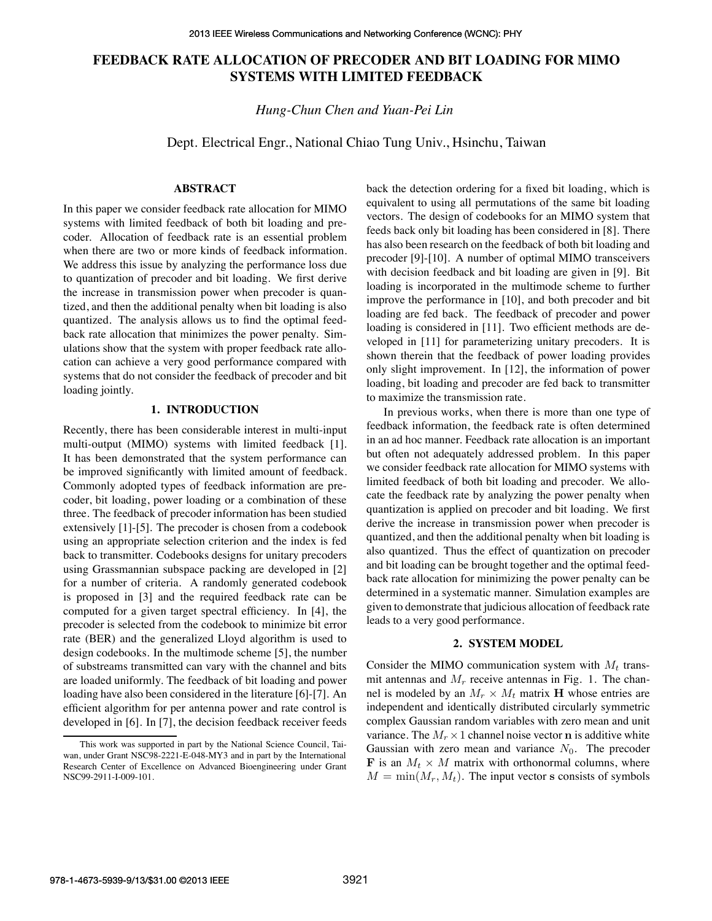# **FEEDBACK RATE ALLOCATION OF PRECODER AND BIT LOADING FOR MIMO SYSTEMS WITH LIMITED FEEDBACK**

*Hung-Chun Chen and Yuan-Pei Lin*

Dept. Electrical Engr., National Chiao Tung Univ., Hsinchu, Taiwan

## **ABSTRACT**

In this paper we consider feedback rate allocation for MIMO systems with limited feedback of both bit loading and precoder. Allocation of feedback rate is an essential problem when there are two or more kinds of feedback information. We address this issue by analyzing the performance loss due to quantization of precoder and bit loading. We first derive the increase in transmission power when precoder is quantized, and then the additional penalty when bit loading is also quantized. The analysis allows us to find the optimal feedback rate allocation that minimizes the power penalty. Simulations show that the system with proper feedback rate allocation can achieve a very good performance compared with systems that do not consider the feedback of precoder and bit loading jointly.

## **1. INTRODUCTION**

Recently, there has been considerable interest in multi-input multi-output (MIMO) systems with limited feedback [1]. It has been demonstrated that the system performance can be improved significantly with limited amount of feedback. Commonly adopted types of feedback information are precoder, bit loading, power loading or a combination of these three. The feedback of precoder information has been studied extensively [1]-[5]. The precoder is chosen from a codebook using an appropriate selection criterion and the index is fed back to transmitter. Codebooks designs for unitary precoders using Grassmannian subspace packing are developed in [2] for a number of criteria. A randomly generated codebook is proposed in [3] and the required feedback rate can be computed for a given target spectral efficiency. In [4], the precoder is selected from the codebook to minimize bit error rate (BER) and the generalized Lloyd algorithm is used to design codebooks. In the multimode scheme [5], the number of substreams transmitted can vary with the channel and bits are loaded uniformly. The feedback of bit loading and power loading have also been considered in the literature [6]-[7]. An efficient algorithm for per antenna power and rate control is developed in [6]. In [7], the decision feedback receiver feeds back the detection ordering for a fixed bit loading, which is equivalent to using all permutations of the same bit loading vectors. The design of codebooks for an MIMO system that feeds back only bit loading has been considered in [8]. There has also been research on the feedback of both bit loading and precoder [9]-[10]. A number of optimal MIMO transceivers with decision feedback and bit loading are given in [9]. Bit loading is incorporated in the multimode scheme to further improve the performance in [10], and both precoder and bit loading are fed back. The feedback of precoder and power loading is considered in [11]. Two efficient methods are developed in [11] for parameterizing unitary precoders. It is shown therein that the feedback of power loading provides only slight improvement. In [12], the information of power loading, bit loading and precoder are fed back to transmitter to maximize the transmission rate.

In previous works, when there is more than one type of feedback information, the feedback rate is often determined in an ad hoc manner. Feedback rate allocation is an important but often not adequately addressed problem. In this paper we consider feedback rate allocation for MIMO systems with limited feedback of both bit loading and precoder. We allocate the feedback rate by analyzing the power penalty when quantization is applied on precoder and bit loading. We first derive the increase in transmission power when precoder is quantized, and then the additional penalty when bit loading is also quantized. Thus the effect of quantization on precoder and bit loading can be brought together and the optimal feedback rate allocation for minimizing the power penalty can be determined in a systematic manner. Simulation examples are given to demonstrate that judicious allocation of feedback rate leads to a very good performance.

#### **2. SYSTEM MODEL**

Consider the MIMO communication system with  $M_t$  transmit antennas and  $M_r$  receive antennas in Fig. 1. The channel is modeled by an  $M_r \times M_t$  matrix **H** whose entries are independent and identically distributed circularly symmetric complex Gaussian random variables with zero mean and unit variance. The  $M_r \times 1$  channel noise vector **n** is additive white Gaussian with zero mean and variance  $N_0$ . The precoder **F** is an  $M_t \times M$  matrix with orthonormal columns, where  $M = min(M_r, M_t)$ . The input vector s consists of symbols

This work was supported in part by the National Science Council, Taiwan, under Grant NSC98-2221-E-048-MY3 and in part by the International Research Center of Excellence on Advanced Bioengineering under Grant NSC99-2911-I-009-101.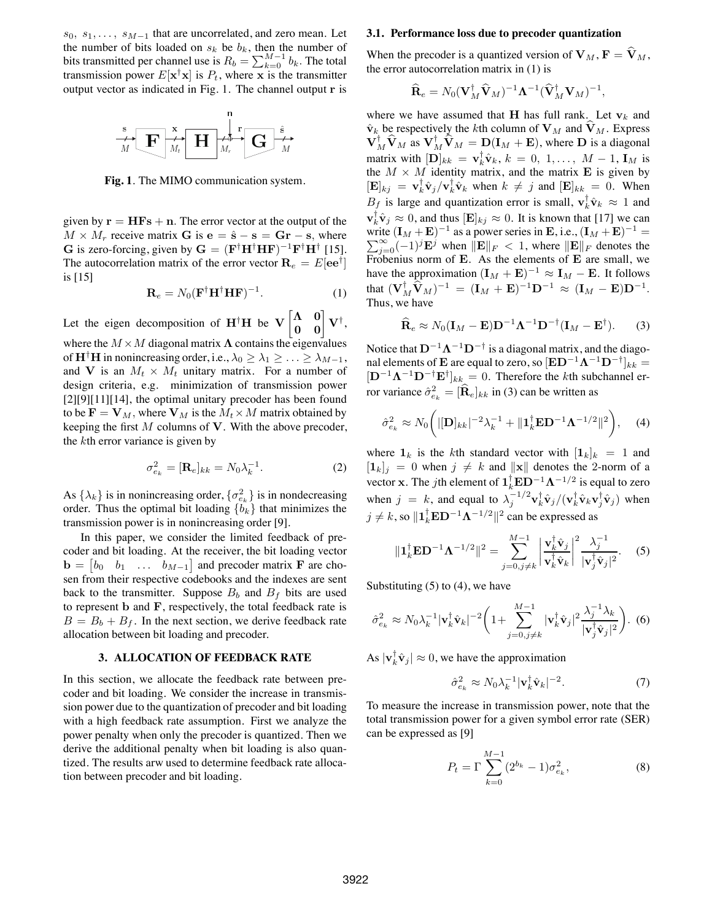$s_0, s_1, \ldots, s_{M-1}$  that are uncorrelated, and zero mean. Let the number of bits loaded on  $s_k$  be  $b_k$ , then the number of bits transmitted per channel use is  $R_b = \sum_{k=0}^{M-1} b_k$ . The total transmission power  $E[\mathbf{x}^{\dagger} \mathbf{x}]$  is  $P_t$ , where x is the transmitter output vector as indicated in Fig. 1. The channel output r is



**Fig. 1**. The MIMO communication system.

given by  $\mathbf{r} = \mathbf{H} \mathbf{F} \mathbf{s} + \mathbf{n}$ . The error vector at the output of the  $M \times M_r$  receive matrix G is  $e = \hat{s} - s = Gr - s$ , where G is zero-forcing, given by  $G = (F^{\dagger}H^{\dagger}HF)^{-1}F^{\dagger}H^{\dagger}$  [15]. The autocorrelation matrix of the error vector  $\mathbf{R}_e = E[\mathbf{e} \mathbf{e}^\dagger]$ is [15]

$$
\mathbf{R}_e = N_0 (\mathbf{F}^\dagger \mathbf{H}^\dagger \mathbf{H} \mathbf{F})^{-1}.
$$
 (1)

Let the eigen decomposition of  $H^{\dagger}H$  be  $V \begin{bmatrix} \Lambda & 0 \\ 0 & 0 \end{bmatrix} V^{\dagger}$ , where the  $M \times M$  diagonal matrix  $\Lambda$  contains the eigenvalues of  $\mathbf{H}^{\dagger}$ H in nonincreasing order, i.e.,  $\lambda_0 \geq \lambda_1 \geq \ldots \geq \lambda_{M-1}$ , and V is an  $M_t \times M_t$  unitary matrix. For a number of design criteria, e.g. minimization of transmission power  $[2][9][11][14]$ , the optimal unitary precoder has been found to be  $\mathbf{F} = \mathbf{V}_M$ , where  $\mathbf{V}_M$  is the  $M_t \times M$  matrix obtained by keeping the first  $M$  columns of  $V$ . With the above precoder, the  $k$ th error variance is given by

$$
\sigma_{e_k}^2 = [\mathbf{R}_e]_{kk} = N_0 \lambda_k^{-1}.
$$
 (2)

As  $\{\lambda_k\}$  is in nonincreasing order,  $\{\sigma_{e_k}^2\}$  is in nondecreasing order. Thus the optimal bit loading  ${b_k}$  that minimizes the transmission power is in nonincreasing order [9].

In this paper, we consider the limited feedback of precoder and bit loading. At the receiver, the bit loading vector  $\mathbf{b} = \begin{bmatrix} b_0 & b_1 & \dots & b_{M-1} \end{bmatrix}$  and precoder matrix **F** are chosen from their respective codebooks and the indexes are sent back to the transmitter. Suppose  $B_b$  and  $B_f$  bits are used to represent  $\bf{b}$  and  $\bf{F}$ , respectively, the total feedback rate is  $B = B<sub>b</sub> + B<sub>f</sub>$ . In the next section, we derive feedback rate allocation between bit loading and precoder.

#### **3. ALLOCATION OF FEEDBACK RATE**

In this section, we allocate the feedback rate between precoder and bit loading. We consider the increase in transmission power due to the quantization of precoder and bit loading with a high feedback rate assumption. First we analyze the power penalty when only the precoder is quantized. Then we derive the additional penalty when bit loading is also quantized. The results arw used to determine feedback rate allocation between precoder and bit loading.

#### **3.1. Performance loss due to precoder quantization**

When the precoder is a quantized version of  $V_M$ ,  $F = \hat{V}_M$ , the error autocorrelation matrix in (1) is

$$
\widehat{\mathbf{R}}_e = N_0 (\mathbf{V}_M^{\dagger} \widehat{\mathbf{V}}_M)^{-1} \mathbf{\Lambda}^{-1} (\widehat{\mathbf{V}}_M^{\dagger} \mathbf{V}_M)^{-1},
$$

where we have assumed that H has full rank. Let  $v_k$  and  $\hat{\mathbf{v}}_k$  be respectively the kth column of  $\mathbf{V}_M$  and  $\mathbf{V}_M$ . Express  $\mathbf{V}_M^{\dagger} \hat{\mathbf{V}}_M$  as  $\mathbf{V}_M^{\dagger} \hat{\mathbf{V}}_M = \mathbf{D}(\mathbf{I}_M + \mathbf{E})$ , where  $\mathbf{D}$  is a diagonal matrix with  $[\mathbf{D}]_{kk} = \mathbf{v}_k^{\dagger} \hat{\mathbf{v}}_k, k = 0, 1, \ldots, M - 1, \mathbf{I}_M$  is the  $M \times M$  identity matrix, and the matrix **E** is given by  $[\mathbf{E}]_{kj} = \mathbf{v}_k^{\dagger} \hat{\mathbf{v}}_j / \mathbf{v}_k^{\dagger} \hat{\mathbf{v}}_k$  when  $k \neq j$  and  $[\mathbf{E}]_{kk} = 0$ . When  $B_f$  is large and quantization error is small,  $\mathbf{v}_k^{\dagger} \hat{\mathbf{v}}_k \approx 1$  and  $\mathbf{v}_k^{\dagger} \hat{\mathbf{v}}_j \approx 0$ , and thus  $[\mathbf{E}]_{kj} \approx 0$ . It is known that [17] we can write  $(I_M + E)^{-1}$  as a power series in E, i.e.,  $(I_M + E)^{-1} = \sum_{n=0}^{\infty} (-1)^{j} E^{j}$  when  $||E||_F < 1$ , where  $||E||_F$  denotes the  $\sum_{j=0}^{\infty}(-1)^j\mathbf{E}^j$  when  $\|\mathbf{E}\|_F < 1$ , where  $\|\mathbf{E}\|_F$  denotes the Frobenius norm of E. As the elements of E are small, we have the approximation  $(I_M + E)^{-1} \approx I_M - E$ . It follows that  $(\mathbf{V}_M^{\dagger} \hat{\mathbf{V}}_M)^{-1} = (\mathbf{I}_M + \mathbf{E})^{-1} \mathbf{D}^{-1} \approx (\mathbf{I}_M - \mathbf{E}) \mathbf{D}^{-1}.$ Thus, we have

$$
\widehat{\mathbf{R}}_e \approx N_0 (\mathbf{I}_M - \mathbf{E}) \mathbf{D}^{-1} \mathbf{\Lambda}^{-1} \mathbf{D}^{-\dagger} (\mathbf{I}_M - \mathbf{E}^{\dagger}).
$$
 (3)

Notice that  $D^{-1}\Lambda^{-1}D^{-\dagger}$  is a diagonal matrix, and the diagonal elements of **E** are equal to zero, so  $[\mathbf{ED}^{-1}\mathbf{\Lambda}^{-1}\mathbf{D}^{-\dagger}]_{kk} =$  $[\mathbf{D}^{-1}\mathbf{\Lambda}^{-1}\mathbf{D}^{-\dagger}\mathbf{E}^{\dagger}]_{kk} = 0$ . Therefore the kth subchannel error variance  $\hat{\sigma}_{e_k}^2 = [\widehat{\mathbf{R}}_e]_{kk}$  in (3) can be written as

$$
\hat{\sigma}_{e_k}^2 \approx N_0 \bigg( |[\mathbf{D}]_{kk}|^{-2} \lambda_k^{-1} + ||\mathbf{1}_k^\dagger \mathbf{E} \mathbf{D}^{-1} \mathbf{\Lambda}^{-1/2}||^2 \bigg), \quad (4)
$$

where  $\mathbf{1}_k$  is the kth standard vector with  $|\mathbf{1}_k|_k = 1$  and  $[1_k]_j = 0$  when  $j \neq k$  and  $\|\mathbf{x}\|$  denotes the 2-norm of a vector x. The *j*th element of  $1_k^{\dagger} \mathbf{ED}^{-1} \mathbf{\Lambda}^{-1/2}$  is equal to zero when  $j = k$ , and equal to  $\lambda_j^{-1/2} \mathbf{v}_k^{\dagger} \hat{\mathbf{v}}_j / (\mathbf{v}_k^{\dagger} \hat{\mathbf{v}}_k \mathbf{v}_j^{\dagger} \hat{\mathbf{v}}_j)$  when  $j \neq k$ , so  $\|\mathbf{1}_k^{\dagger} \mathbf{E} \mathbf{D}^{-1} \mathbf{\Lambda}^{-1/2} \|^2$  can be expressed as

$$
\|\mathbf{1}_k^{\dagger} \mathbf{E} \mathbf{D}^{-1} \mathbf{\Lambda}^{-1/2} \|^2 = \sum_{j=0, j \neq k}^{M-1} \left| \frac{\mathbf{v}_k^{\dagger} \hat{\mathbf{v}}_j}{\mathbf{v}_k^{\dagger} \hat{\mathbf{v}}_k} \right|^2 \frac{\lambda_j^{-1}}{|\mathbf{v}_j^{\dagger} \hat{\mathbf{v}}_j|^2}.
$$
 (5)

Substituting  $(5)$  to  $(4)$ , we have

$$
\hat{\sigma}_{e_k}^2 \approx N_0 \lambda_k^{-1} |\mathbf{v}_k^\dagger \hat{\mathbf{v}}_k|^{-2} \bigg( 1 + \sum_{j=0,j\neq k}^{M-1} |\mathbf{v}_k^\dagger \hat{\mathbf{v}}_j|^2 \frac{\lambda_j^{-1} \lambda_k}{|\mathbf{v}_j^\dagger \hat{\mathbf{v}}_j|^2} \bigg). \tag{6}
$$

As  $|\mathbf{v}_k^{\dagger} \hat{\mathbf{v}}_j| \approx 0$ , we have the approximation

$$
\hat{\sigma}_{e_k}^2 \approx N_0 \lambda_k^{-1} |\mathbf{v}_k^\dagger \hat{\mathbf{v}}_k|^{-2}.
$$
 (7)

To measure the increase in transmission power, note that the total transmission power for a given symbol error rate (SER) can be expressed as [9]

$$
P_t = \Gamma \sum_{k=0}^{M-1} (2^{b_k} - 1) \sigma_{e_k}^2,
$$
 (8)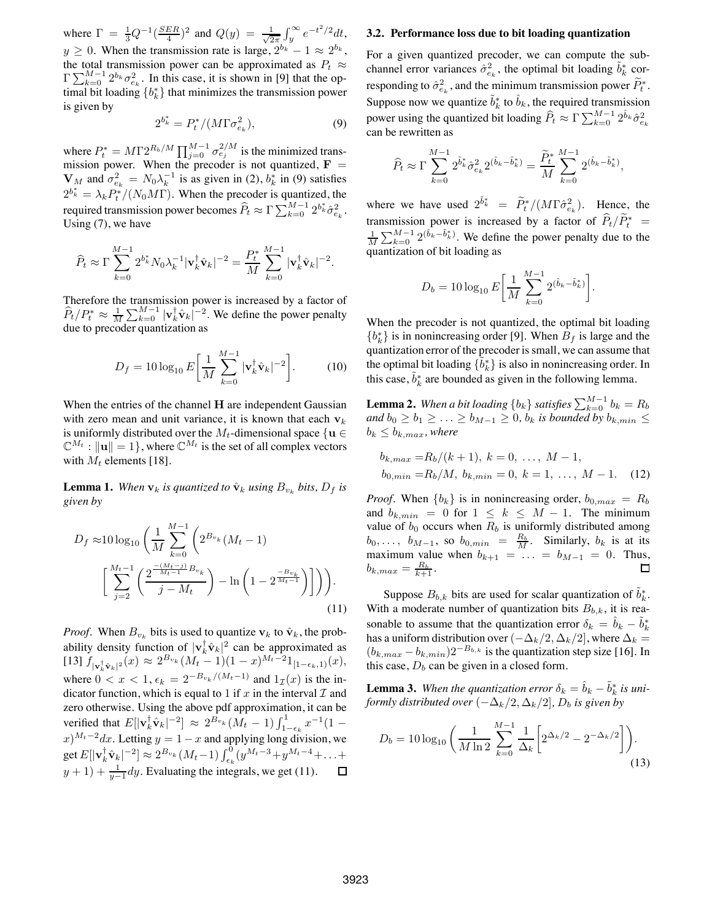where  $\Gamma = \frac{1}{3} Q^{-1} (\frac{SER}{4})^2$  and  $Q(y) = \frac{1}{\sqrt{2}}$  $\frac{1}{2\pi} \int_{y}^{\infty} e^{-t^2/2} dt$ ,  $y \ge 0$ . When the transmission rate is large,  $2^{b_k} - 1 \approx 2^{b_k}$ , the total transmission power can be approximated as  $P_t \approx$  $\Gamma \sum_{k=0}^{M-1} 2^{b_k} \sigma_{e_k}^2$ . In this case, it is shown in [9] that the optimal bit loading  $\{b_k^*\}$  that minimizes the transmission power is given by

$$
2^{b_k^*} = P_t^* / (M \Gamma \sigma_{e_k}^2), \tag{9}
$$

where  $P_t^* = M\Gamma 2^{R_b/M} \prod_{j=0}^{M-1} \sigma_{e_j}^{2/M}$  is the minimized transmission power. When the precoder is not quantized,  $\mathbf{F} =$  $\mathbf{V}_M$  and  $\sigma_{e_k}^2 = N_0 \lambda_k^{-1}$  is as given in (2),  $b_k^*$  in (9) satisfies  $2^{b^*_{k}} = \lambda_k P_t^* / (N_0 M \Gamma)$ . When the precoder is quantized, the required transmission power becomes  $\widehat{P}_t \approx \Gamma \sum_{k=0}^{M-1} 2^{b^*_k} \hat{\sigma}_{e_k}^2$ . Using (7), we have

$$
\widehat{P}_t \approx \Gamma \sum_{k=0}^{M-1} 2^{b_k^*} N_0 \lambda_k^{-1} |\mathbf{v}_k^{\dagger} \hat{\mathbf{v}}_k|^{-2} = \frac{P_t^*}{M} \sum_{k=0}^{M-1} |\mathbf{v}_k^{\dagger} \hat{\mathbf{v}}_k|^{-2}.
$$

Therefore the transmission power is increased by a factor of  $\hat{P}_t/P_t^* \approx \frac{1}{M} \sum_{k=0}^{M-1} |\mathbf{v}_k^{\dagger} \hat{\mathbf{v}}_k|^{-2}$ . We define the power penalty due to precoder quantization as

$$
D_f = 10 \log_{10} E \left[ \frac{1}{M} \sum_{k=0}^{M-1} |\mathbf{v}_k^{\dagger} \hat{\mathbf{v}}_k|^{-2} \right].
$$
 (10)

When the entries of the channel H are independent Gaussian with zero mean and unit variance, it is known that each  $v_k$ is uniformly distributed over the  $M_t$ -dimensional space  $\{u \in$  $\mathbb{C}^{M_t}: ||\mathbf{u}|| = 1$ , where  $\mathbb{C}^{M_t}$  is the set of all complex vectors with  $M_t$  elements [18].

**Lemma 1.** When  $\mathbf{v}_k$  *is quantized to*  $\hat{\mathbf{v}}_k$  *using*  $B_{v_k}$  *bits,*  $D_f$  *is given by*

$$
D_f \approx 10 \log_{10} \left( \frac{1}{M} \sum_{k=0}^{M-1} \left( 2^{B_{v_k}} (M_t - 1) \right) \right)
$$

$$
\left[ \sum_{j=2}^{M_t - 1} \left( \frac{2^{\frac{-(M_t - j)}{M_t - 1}} B_{v_k}}{j - M_t} \right) - \ln \left( 1 - 2^{\frac{-B_{v_k}}{M_t - 1}} \right) \right] \right).
$$
(11)

*Proof.* When  $B_{v_k}$  bits is used to quantize  $v_k$  to  $\hat{v}_k$ , the probability density function of  $|\mathbf{v}_k^{\dagger} \hat{\mathbf{v}}_k|^2$  can be approximated as [13]  $f_{|\mathbf{v}_k^{\dagger} \hat{\mathbf{v}}_k|^2}(x) \approx 2^{B_{v_k}} (M_t - 1)(1 - x)^{M_t - 2} 1_{[1 - \epsilon_k, 1)}(x),$ where  $0 < x < 1$ ,  $\epsilon_k = 2^{-B_{v_k}/(M_t-1)}$  and  $1_{\mathcal{I}}(x)$  is the indicator function, which is equal to 1 if x in the interval  $\mathcal I$  and zero otherwise. Using the above pdf approximation, it can be verified that  $E[|\mathbf{v}_k^{\dagger} \hat{\mathbf{v}}_k|^{-2}] \approx 2^{B_{v_k}} (M_t - 1) \int_{1-\epsilon_k}^{1} x^{-1} (1 (x)^{M_t-2}dx$ . Letting  $y = 1 - x$  and applying long division, we get  $E[|\mathbf{v}_k^{\dagger} \hat{\mathbf{v}}_k|^{-2}] \approx 2^{B_{v_k}} (M_t-1) \int_{\epsilon_k}^0 (y^{M_t-3} + y^{M_t-4} + \ldots +$  $y + 1$ ) +  $\frac{1}{y-1}dy$ . Evaluating the integrals, we get (11).  $\Box$ 

#### **3.2. Performance loss due to bit loading quantization**

For a given quantized precoder, we can compute the subchannel error variances  $\hat{\sigma}_{e_k}^2$ , the optimal bit loading  $\tilde{b}_k^*$  corresponding to  $\hat{\sigma}_{e_k}^2$ , and the minimum transmission power  $P_t^*$ . Suppose now we quantize  $\tilde{b}_k^*$  to  $\hat{b}_k$ , the required transmission power using the quantized bit loading  $\widehat{P}_t \approx \Gamma \sum_{k=0}^{M-1} 2^{\hat{b}_k} \hat{\sigma}_{e_k}^2$ can be rewritten as

$$
\widehat{P}_t \approx \Gamma \sum_{k=0}^{M-1} 2^{\tilde{b}_k^*} \widehat{\sigma}_{e_k}^2 2^{(\hat{b}_k - \tilde{b}_k^*)} = \frac{\widetilde{P}_t^*}{M} \sum_{k=0}^{M-1} 2^{(\hat{b}_k - \tilde{b}_k^*)},
$$

where we have used  $2^{\tilde{b}_k^*} = \tilde{P}_t^*/(M\Gamma \hat{\sigma}_{e_k}^2)$ . Hence, the transmission power is increased by a factor of  $P_t/P_t^* =$  $\frac{1}{M}\sum_{k=0}^{M-1} 2^{(\hat{b}_k-\tilde{b}_k^*)}$ . We define the power penalty due to the quantization of bit loading as

$$
D_b = 10 \log_{10} E \left[ \frac{1}{M} \sum_{k=0}^{M-1} 2^{(\hat{b}_k - \tilde{b}_k^*)} \right].
$$

When the precoder is not quantized, the optimal bit loading  ${b<sub>k</sub>}$  is in nonincreasing order [9]. When  $B<sub>f</sub>$  is large and the quantization error of the precoder is small, we can assume that the optimal bit loading  $\{ \tilde{b}_k^* \}$  is also in nonincreasing order. In this case,  $\tilde{b}_k^*$  are bounded as given in the following lemma.

**Lemma 2.** When a bit loading  $\{b_k\}$  satisfies  $\sum_{k=0}^{M-1} b_k = R_b$ *and*  $b_0 \geq b_1 \geq \ldots \geq b_{M-1} \geq 0$ ,  $b_k$  *is bounded by*  $b_{k,min} \leq$  $b_k \leq b_{k,max}$ , where

$$
b_{k,max} = R_b/(k+1), k = 0, ..., M-1,
$$
  

$$
b_{0,min} = R_b/M, b_{k,min} = 0, k = 1, ..., M-1.
$$
 (12)

*Proof.* When  ${b_k}$  is in nonincreasing order,  $b_{0,max} = R_b$ and  $b_{k,min} = 0$  for  $1 \leq k \leq M-1$ . The minimum value of  $b_0$  occurs when  $R_b$  is uniformly distributed among  $b_0, \ldots, b_{M-1}$ , so  $b_{0,min} = \frac{R_b}{M}$ . Similarly,  $b_k$  is at its maximum value when  $b_{k+1} = ... = b_{M-1} = 0$ . Thus,<br>  $b_{k max} = \frac{R_b}{k+1}$ .  $b_{k,max} = \frac{R_b}{k+1}.$ 

Suppose  $B_{b,k}$  bits are used for scalar quantization of  $\tilde{b}_k^*$ . With a moderate number of quantization bits  $B_{b,k}$ , it is reasonable to assume that the quantization error  $\delta_k = \hat{b}_k - \tilde{b}_k^*$ has a uniform distribution over  $(-\Delta_k/2, \Delta_k/2]$ , where  $\Delta_k =$  $(b_{k,max} - b_{k,min})2^{-B_{b,k}}$  is the quantization step size [16]. In this case,  $D_b$  can be given in a closed form.

**Lemma 3.** When the quantization error  $\delta_k = \hat{b}_k - \tilde{b}_k^*$  is uni*formly distributed over*  $(-\Delta_k/2, \Delta_k/2]$ *,*  $D_b$  *is given by* 

$$
D_b = 10 \log_{10} \left( \frac{1}{M \ln 2} \sum_{k=0}^{M-1} \frac{1}{\Delta_k} \left[ 2^{\Delta_k/2} - 2^{-\Delta_k/2} \right] \right).
$$
\n(13)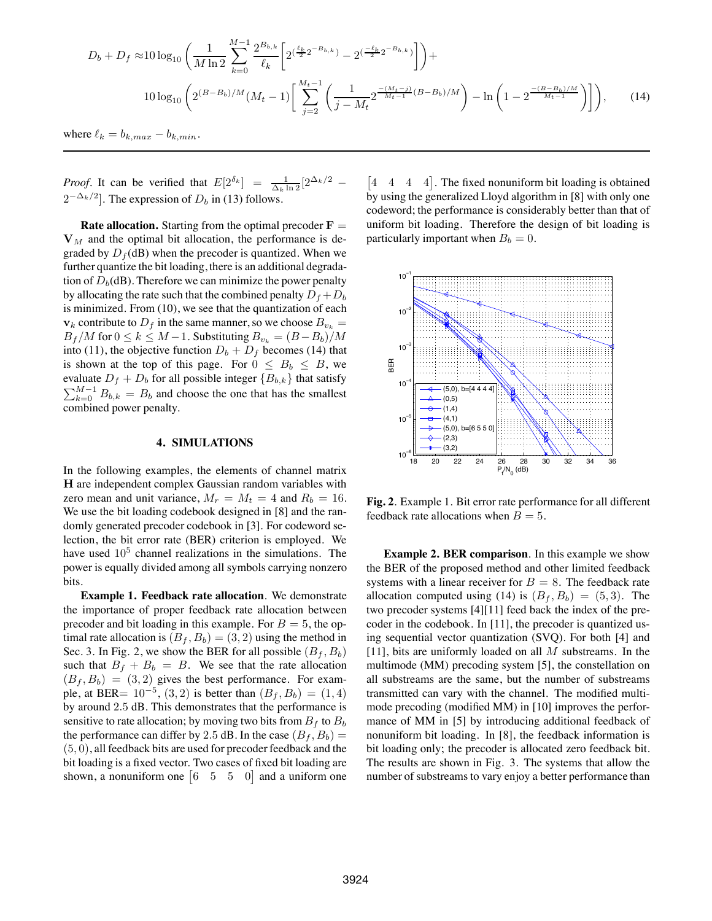$$
D_b + D_f \approx 10 \log_{10} \left( \frac{1}{M \ln 2} \sum_{k=0}^{M-1} \frac{2^{B_{b,k}}}{\ell_k} \left[ 2^{\left(\frac{\ell_k}{2} 2^{-B_{b,k}}\right)} - 2^{\left(\frac{-\ell_k}{2} 2^{-B_{b,k}}\right)} \right] \right) +
$$
  

$$
10 \log_{10} \left( 2^{(B-B_b)/M} (M_t - 1) \left[ \sum_{j=2}^{M_t-1} \left( \frac{1}{j - M_t} 2^{-\frac{(M_t-j)}{M_t-1} (B-B_b)/M} \right) - \ln \left( 1 - 2^{-\frac{(B-B_b)/M}{M_t-1}} \right) \right] \right),
$$
 (14)

where  $\ell_k = b_{k,max} - b_{k,min}$ .

*Proof.* It can be verified that  $E[2^{\delta_k}] = \frac{1}{\Delta_k \ln 2} [2^{\Delta_k/2} 2^{-\Delta_k/2}$ . The expression of  $D_b$  in (13) follows.

**Rate allocation.** Starting from the optimal precoder  $\mathbf{F} =$  $V_M$  and the optimal bit allocation, the performance is degraded by  $D_f$ (dB) when the precoder is quantized. When we further quantize the bit loading, there is an additional degradation of  $D_b$ (dB). Therefore we can minimize the power penalty by allocating the rate such that the combined penalty  $D_f + D_b$ is minimized. From (10), we see that the quantization of each  $\mathbf{v}_k$  contribute to  $D_f$  in the same manner, so we choose  $B_{v_k} =$  $B_f/M$  for  $0 \le k \le M-1$ . Substituting  $B_{v_k} = (B-B_b)/M$ into (11), the objective function  $D_b + D_f$  becomes (14) that is shown at the top of this page. For  $0 \leq B_b \leq B$ , we evaluate  $D_f + D_b$  for all possible integer  ${B_{b,k}}$  that satisfy  $\sum_{k=0}^{M-1} B_{b,k} = B_b$  and choose the one that has the smallest combined power penalty.

## **4. SIMULATIONS**

In the following examples, the elements of channel matrix H are independent complex Gaussian random variables with zero mean and unit variance,  $M_r = M_t = 4$  and  $R_b = 16$ . We use the bit loading codebook designed in [8] and the randomly generated precoder codebook in [3]. For codeword selection, the bit error rate (BER) criterion is employed. We have used  $10<sup>5</sup>$  channel realizations in the simulations. The power is equally divided among all symbols carrying nonzero bits.

**Example 1. Feedback rate allocation**. We demonstrate the importance of proper feedback rate allocation between precoder and bit loading in this example. For  $B = 5$ , the optimal rate allocation is  $(B_f, B_b) = (3, 2)$  using the method in Sec. 3. In Fig. 2, we show the BER for all possible  $(B_f, B_b)$ such that  $B_f + B_b = B$ . We see that the rate allocation  $(B_f, B_b) = (3, 2)$  gives the best performance. For example, at BER=  $10^{-5}$ ,  $(3, 2)$  is better than  $(B_f, B_b) = (1, 4)$ by around 2.5 dB. This demonstrates that the performance is sensitive to rate allocation; by moving two bits from  $B_f$  to  $B_b$ the performance can differ by 2.5 dB. In the case  $(B_f, B_b)$  =  $(5, 0)$ , all feedback bits are used for precoder feedback and the bit loading is a fixed vector. Two cases of fixed bit loading are shown, a nonuniform one  $\begin{bmatrix} 6 & 5 & 5 & 0 \end{bmatrix}$  and a uniform one

 $\begin{bmatrix} 4 & 4 & 4 \end{bmatrix}$ . The fixed nonuniform bit loading is obtained by using the generalized Lloyd algorithm in [8] with only one codeword; the performance is considerably better than that of uniform bit loading. Therefore the design of bit loading is particularly important when  $B_b = 0$ .



**Fig. 2**. Example 1. Bit error rate performance for all different feedback rate allocations when  $B = 5$ .

**Example 2. BER comparison**. In this example we show the BER of the proposed method and other limited feedback systems with a linear receiver for  $B = 8$ . The feedback rate allocation computed using (14) is  $(B_f, B_b) = (5, 3)$ . The two precoder systems [4][11] feed back the index of the precoder in the codebook. In [11], the precoder is quantized using sequential vector quantization (SVQ). For both [4] and [11], bits are uniformly loaded on all  $M$  substreams. In the multimode (MM) precoding system [5], the constellation on all substreams are the same, but the number of substreams transmitted can vary with the channel. The modified multimode precoding (modified MM) in [10] improves the performance of MM in [5] by introducing additional feedback of nonuniform bit loading. In [8], the feedback information is bit loading only; the precoder is allocated zero feedback bit. The results are shown in Fig. 3. The systems that allow the number of substreams to vary enjoy a better performance than